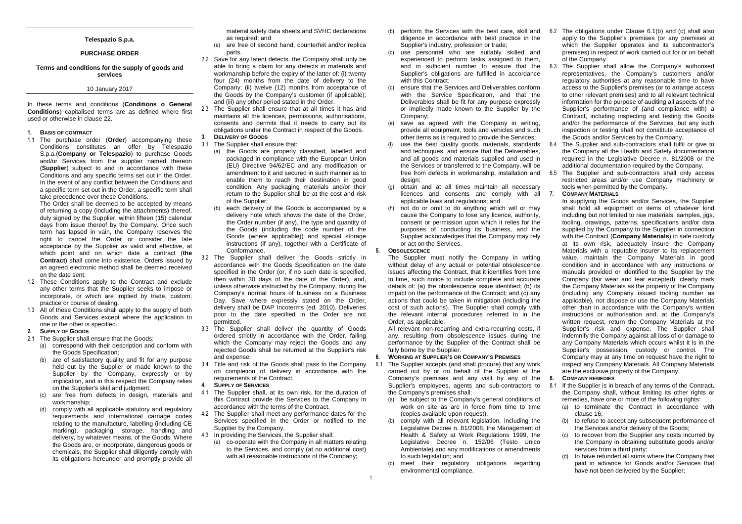# **Telespazio S.p.a.**

# **PURCHASE ORDER**

# **Terms and conditions for the supply of goods and services**

## 10 January 2017

In these terms and conditions (**Conditions o General Conditions**) capitalised terms are as defined where first used or otherwise in clause 22.

## **1. BASIS OF CONTRACT**

 1.1 The purchase order (**Order**) accompanying these Conditions constitutes an offer by Telespazio S.p.a.(**Company or Telespazio**) to purchase Goods and/or Services from the supplier named thereon (**Supplier**) subject to and in accordance with these Conditions and any specific terms set out in the Order. In the event of any conflict between the Conditions and a specific term set out in the Order, a specific term shall take precedence over these Conditions.

 The Order shall be deemed to be accepted by means of returning a copy (including the attachments) thereof, duly signed by the Supplier, within fifteen (15) calendar days from issue thereof by the Company. Once such term has lapsed in vain, the Company reserves the right to cancel the Order or consider the late acceptance by the Supplier as valid and effective, at which point and on which date a contract (**the Contract**) shall come into existence. Orders issued by an agreed electronic method shall be deemed received on the date sent.

- 1.2 These Conditions apply to the Contract and exclude any other terms that the Supplier seeks to impose or incorporate, or which are implied by trade, custom,practice or course of dealing.
- 1.3 All of these Conditions shall apply to the supply of both Goods and Services except where the application to one or the other is specified.
- **2. SUPPLY OF GOODS**
- 2.1 The Supplier shall ensure that the Goods: (a) correspond with their description and conform withthe Goods Specification;
	- (b) are of satisfactory quality and fit for any purpose held out by the Supplier or made known to the Supplier by the Company, expressly or by implication, and in this respect the Company relieson the Supplier's skill and judgment;
	- (c) are free from defects in design, materials and workmanship;
	- (d) comply with all applicable statutory and regulatory requirements and international carriage codes relating to the manufacture, labelling (including CE marking), packaging, storage, handling and delivery, by whatever means, of the Goods. Where the Goods are, or incorporate, dangerous goods or chemicals, the Supplier shall diligently comply with its obligations hereunder and promptly provide all

material safety data sheets and SVHC declarations as required; and

- (e) are free of second hand, counterfeit and/or replica parts.
- 2.2 Save for any latent defects, the Company shall only be able to bring a claim for any defects in materials and workmanship before the expiry of the latter of: (i) twenty four (24) months from the date of delivery to the Company; (ii) twelve (12) months from acceptance of the Goods by the Company's customer (if applicable); and (iii) any other period stated in the Order.
- 2.3 The Supplier shall ensure that at all times it has and maintains all the licences, permissions, authorisations, consents and permits that it needs to carry out its obligations under the Contract in respect of the Goods. **3. DELIVERY OF GOODS**
- 3.1 The Supplier shall ensure that:
	- (a) the Goods are properly classified, labelled and packaged in compliance with the European Union (EU) Directive 94/62/EC and any modification or amendment to it and secured in such manner as to enable them to reach their destination in good condition. Any packaging materials and/or their return to the Supplier shall be at the cost and risk of the Supplier;
	- (b) each delivery of the Goods is accompanied by a delivery note which shows the date of the Order, the Order number (if any), the type and quantity of the Goods (including the code number of the Goods (where applicable)) and special storage instructions (if any), together with a Certificate of Conformance.
- 3.2 The Supplier shall deliver the Goods strictly in accordance with the Goods Specification on the date specified in the Order (or, if no such date is specified, then within 30 days of the date of the Order), and, unless otherwise instructed by the Company, during the Company's normal hours of business on a Business Day. Save where expressly stated on the Order, delivery shall be DAP Incoterms (ed. 2010). Deliveries prior to the date specified in the Order are not permitted.
- 3.3 The Supplier shall deliver the quantity of Goods ordered strictly in accordance with the Order, failing which the Company may reject the Goods and any rejected Goods shall be returned at the Supplier's risk and expense.
- 3.4 Title and risk of the Goods shall pass to the Company on completion of delivery in accordance with the requirements of the Contract.
- **4. SUPPLY OF SERVICES**
- 4.1 The Supplier shall, at its own risk, for the duration of this Contract provide the Services to the Company in accordance with the terms of the Contract.
- 4.2 The Supplier shall meet any performance dates for the Services specified in the Order or notified to the Supplier by the Company.
- 4.3 In providing the Services, the Supplier shall:
	- (a) co-operate with the Company in all matters relating to the Services, and comply (at no additional cost)with all reasonable instructions of the Company;
- diligence in accordance with best practice in the Supplier's industry, profession or trade;
- (c) use personnel who are suitably skilled and experienced to perform tasks assigned to them, and in sufficient number to ensure that the Supplier's obligations are fulfilled in accordance with this Contract:
- (d) ensure that the Services and Deliverables conform with the Service Specification, and that the Deliverables shall be fit for any purpose expressly or impliedly made known to the Supplier by the Company;
- (e) save as agreed with the Company in writing, provide all equipment, tools and vehicles and such other items as is required to provide the Services;
- (f) use the best quality goods, materials, standards and techniques, and ensure that the Deliverables, and all goods and materials supplied and used in the Services or transferred to the Company, will be free from defects in workmanship, installation and design:
- (g) obtain and at all times maintain all necessary licences and consents and comply with all applicable laws and regulations; and
- (h) not do or omit to do anything which will or may cause the Company to lose any licence, authority, consent or permission upon which it relies for the purposes of conducting its business, and the Supplier acknowledges that the Company may rely or act on the Services.

## **5. OBSOLESCENCE**

 The Supplier must notify the Company in writing without delay of any actual or potential obsolescence issues affecting the Contract, that it identifies from time to time, such notice to include complete and accurate details of: (a) the obsolescence issue identified; (b) its impact on the performance of the Contract; and (c) any actions that could be taken in mitigation (including the cost of such actions). The Supplier shall comply with the relevant internal procedures referred to in theOrder, as applicable.

 All relevant non-recurring and extra-recurring costs, if any, resulting from obsolescence issues during the performance by the Supplier of the Contract shall be fully borne by the Supplier.

#### **6. WORKING AT SUPPLIER'S OR COMPANY'S PREMISES**

- 6.1 The Supplier accepts (and shall procure) that any work carried out by or on behalf of the Supplier at the Company's premises and any visit by any of the Supplier's employees, agents and sub-contractors tothe Company's premises shall:
	- (a) be subject to the Company's general conditions of work on site as are in force from time to time (copies available upon request);
	- (b) comply with all relevant legislation, including the Legislative Decree n. 81/2008, the Management of Health & Safety at Work Regulations 1999, the Legislative Decree n. 152/06 (Testo Unico Ambientale) and any modifications or amendments to such legislation; and
	- (c) meet their regulatory obligations regarding environmental compliance.
- (b) perform the Services with the best care, skill and  $6.2$  The obligations under Clause 6.1(b) and (c) shall also apply to the Supplier's premises (or any premises at which the Supplier operates and its subcontractor's premises) in respect of work carried out for or on behalf of the Company.
	- 6.3 The Supplier shall allow the Company's authorised representatives, the Company's customers and/or regulatory authorities at any reasonable time to have access to the Supplier's premises (or to arrange access to other relevant premises) and to all relevant technical information for the purpose of auditing all aspects of the Supplier's performance of (and compliance with) a Contract, including inspecting and testing the Goods and/or the performance of the Services, but any such inspection or testing shall not constitute acceptance of the Goods and/or Services by the Company.
	- 6.4 The Supplier and sub-contractors shall fulfil or give to the Company all the Health and Safety documentation required in the Legislative Decree n. 81/2008 or the additional documentation required by the Company.
	- 6.5 The Supplier and sub-contractors shall only access restricted areas and/or use Company machinery or tools when permitted by the Company.
	- **7. COMPANY MATERIALS**

 In supplying the Goods and/or Services, the Supplier shall hold all equipment or items of whatever kind including but not limited to raw materials, samples, jigs, tooling, drawings, patterns, specifications and/or data supplied by the Company to the Supplier in connection with the Contract (**Company Materials**) in safe custody at its own risk, adequately insure the Company Materials with a reputable insurer to its replacement value, maintain the Company Materials in good condition and in accordance with any instructions or manuals provided or identified to the Supplier by the Company (fair wear and tear excepted), clearly mark the Company Materials as the property of the Company (including any Company issued tooling number as applicable), not dispose or use the Company Materials other than in accordance with the Company's written instructions or authorisation and, at the Company's written request, return the Company Materials at the Supplier's risk and expense. The Supplier shall indemnify the Company against all loss of or damage to any Company Materials which occurs whilst it is in the Supplier's possession, custody or control. The Company may at any time on request have the right to inspect any Company Materials. All Company Materials are the exclusive property of the Company.

# **8. COMPANY REMEDIES**

 8.1 If the Supplier is in breach of any terms of the Contract, the Company shall, without limiting its other rights or remedies, have one or more of the following rights:

- (a) to terminate the Contract in accordance with clause 16;
- (b) to refuse to accept any subsequent performance of the Services and/or delivery of the Goods;
- (c) to recover from the Supplier any costs incurred by the Company in obtaining substitute goods and/or services from a third party;
- (d) to have refunded all sums where the Company has paid in advance for Goods and/or Services that have not been delivered by the Supplier;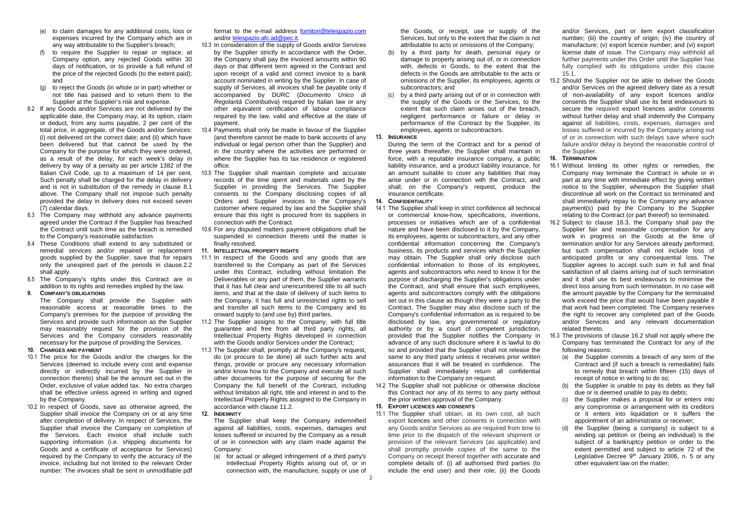- (e) to claim damages for any additional costs, loss or expenses incurred by the Company which are in any way attributable to the Supplier's breach;
- (f) to require the Supplier to repair or replace, at Company option, any rejected Goods within 30 days of notification, or to provide a full refund of the price of the rejected Goods (to the extent paid); and
- (g) to reject the Goods (in whole or in part) whether or not title has passed and to return them to the Supplier at the Supplier's risk and expense.
- 8.2 If any Goods and/or Services are not delivered by the applicable date, the Company may, at its option, claim or deduct, from any sums payable, 2 per cent of the total price, in aggregate, of the Goods and/or Services: (i) not delivered on the correct date; and (ii) which have been delivered but that cannot be used by the Company for the purpose for which they were ordered, as a result of the delay, for each week's delay in delivery by way of a penalty as per article 1382 of the Italian Civil Code, up to a maximum of 14 per cent. Such penalty shall be charged for the delay in delivery and is not in substitution of the remedy in clause 8.1 above. The Company shall not impose such penalty provided the delay in delivery does not exceed seven (7) calendar days.
- 8.3 The Company may withhold any advance payments agreed under the Contract if the Supplier has breached the Contract until such time as the breach is remedied to the Company's reasonable satisfaction.
- 8.4 These Conditions shall extend to any substituted or remedial services and/or repaired or replacement goods supplied by the Supplier, save that for repairs only the unexpired part of the periods in clause.2.2 shall apply.
- 8.5 The Company's rights under this Contract are in addition to its rights and remedies implied by the law.
- **9. COMPANY'S OBLIGATIONS**

 The Company shall provide the Supplier with reasonable access at reasonable times to the Company's premises for the purpose of providing the Services and provide such information as the Supplier may reasonably request for the provision of the Services and the Company considers reasonably necessary for the purpose of providing the Services.

#### **10. CHARGES AND PAYMENT**

- 10.1 The price for the Goods and/or the charges for the Services (deemed to include every cost and expense directly or indirectly incurred by the Supplier in connection thereto) shall be the amount set out in the Order, exclusive of value added tax. No extra charges shall be effective unless agreed in writing and signed by the Company.
- 10.2 In respect of Goods, save as otherwise agreed, the Supplier shall invoice the Company on or at any time **12. INDEMNITY** after completion of delivery. In respect of Services, the Supplier shall invoice the Company on completion of the Services. Each invoice shall include such supporting information (i.e. shipping documents for Goods and a certificate of acceptance for Services) required by the Company to verify the accuracy of the invoice, including but not limited to the relevant Order number. The invoices shall be sent in unmodifiable pdf

format to the e-mail address fornitori@telespazio.com and/or telespazio.afc.ad@pec.it.

- 10.3 In consideration of the supply of Goods and/or Services by the Supplier strictly in accordance with the Order, the Company shall pay the invoiced amounts within 90 days or that different term agreed in the Contract and upon receipt of a valid and correct invoice to a bank account nominated in writing by the Supplier. In case of supply of Services, all invoices shall be payable only if accompanied by DURC (Documento Unico di Regolarità Contributiva) required by Italian law or any other equivalent certification of labour compliance required by the law, valid and effective at the date of payment.
- 10.4 Payments shall only be made in favour of the Supplier (and therefore cannot be made to bank accounts of any individual or legal person other than the Supplier) and in the country where the activities are performed or where the Supplier has its tax residence or registered office.
- 10.5 The Supplier shall maintain complete and accurate records of the time spent and materials used by the Supplier in providing the Services. The Supplier consents to the Company disclosing copies of all Orders and Supplier invoices to the Company's customer where required by law and the Supplier shall ensure that this right is procured from its suppliers in connection with the Contract.
- 10.6 For any disputed matters payment obligations shall be suspended in connection thereto until the matter isfinally resolved.
- **11. INTELLECTUAL PROPERTY RIGHTS**
- 11.1 In respect of the Goods and any goods that are transferred to the Company as part of the Services under this Contract, including without limitation the Deliverables or any part of them, the Supplier warrants that it has full clear and unencumbered title to all such items, and that at the date of delivery of such items to the Company, it has full and unrestricted rights to sell and transfer all such items to the Company and its onward supply to (and use by) third parties.
- 11.2 The Supplier assigns to the Company, with full title guarantee and free from all third party rights, all Intellectual Property Rights developed in connection with the Goods and/or Services under the Contract;
- 11.3 The Supplier shall, promptly at the Company's request, do (or procure to be done) all such further acts and things, provide or procure any necessary information and/or know how to the Company and execute all such other documents for the purpose of securing for the Company the full benefit of the Contract, including without limitation all right, title and interest in and to the Intellectual Property Rights assigned to the Company in accordance with clause 11.2.
	-
	- The Supplier shall keep the Company indemnified against all liabilities, costs, expenses, damages and losses suffered or incurred by the Company as a result of or in connection with any claim made against theCompany:
	- (a) for actual or alleged infringement of a third party's Intellectual Property Rights arising out of, or in connection with, the manufacture, supply or use of

the Goods, or receipt, use or supply of the Services, but only to the extent that the claim is not attributable to acts or omissions of the Company;

- (b) by a third party for death, personal injury or damage to property arising out of, or in connection with, defects in Goods, to the extent that the defects in the Goods are attributable to the acts or omissions of the Supplier, its employees, agents orsubcontractors; and
- (c) by a third party arising out of or in connection with the supply of the Goods or the Services, to the extent that such claim arises out of the breach, negligent performance or failure or delay in performance of the Contract by the Supplier, its employees, agents or subcontractors.

# **13. INSURANCE**

 During the term of the Contract and for a period of three years thereafter, the Supplier shall maintain in force, with a reputable insurance company, a public liability insurance, and a product liability insurance, for an amount suitable to cover any liabilities that may arise under or in connection with the Contract, and shall, on the Company's request, produce the insurance certificate.

## **14. CONFIDENTIALITY**

- 14.1 The Supplier shall keep in strict confidence all technical or commercial know-how, specifications, inventions, processes or initiatives which are of a confidential nature and have been disclosed to it by the Company, its employees, agents or subcontractors, and any other confidential information concerning the Company's business, its products and services which the Supplier may obtain. The Supplier shall only disclose such confidential information to those of its employees, agents and subcontractors who need to know it for the purpose of discharging the Supplier's obligations under the Contract, and shall ensure that such employees, agents and subcontractors comply with the obligations set out in this clause as though they were a party to the Contract. The Supplier may also disclose such of the Company's confidential information as is required to be disclosed by law, any governmental or regulatory authority or by a court of competent jurisdiction, provided that the Supplier notifies the Company in advance of any such disclosure where it is lawful to do so and provided that the Supplier shall not release the same to any third party unless it receives prior written assurances that it will be treated in confidence. The Supplier shall immediately return all confidential information to the Company on request.
- 14.2 The Supplier shall not publicise or otherwise disclose this Contract nor any of its terms to any party without the prior written approval of the Company.

## **15. EXPORT LICENCES AND CONSENTS**

 15.1 The Supplier shall obtain, at its own cost, all such export licences and other consents in connection with any Goods and/or Services as are required from time to time prior to the dispatch of the relevant shipment or provision of the relevant Services (as applicable) and shall promptly provide copies of the same to the Company on receipt thereof together with accurate and complete details of: (i) all authorised third parties (to include the end user) and their role; (ii) the Goods and/or Services, part or item export classification number; (iii) the country of origin; (iv) the country of manufacture; (v) export licence number; and (vi) export license date of issue. The Company may withhold all further payments under this Order until the Supplier has fully complied with its obligations under this clause 15.1.

 15.2 Should the Supplier not be able to deliver the Goods and/or Services on the agreed delivery date as a result of non-availability of any export licences and/or consents the Supplier shall use its best endeavours to secure the required export licences and/or consents without further delay and shall indemnify the Company against all liabilities, costs, expenses, damages and losses suffered or incurred by the Company arising out of or in connection with such delays save where such failure and/or delay is beyond the reasonable control of the Supplier.

#### **16. TERMINATION**

- 16.1 Without limiting its other rights or remedies, the Company may terminate the Contract in whole or in part at any time with immediate effect by giving written notice to the Supplier, whereupon the Supplier shall discontinue all work on the Contract so terminated and shall immediately repay to the Company any advance payment(s) paid by the Company to the Supplier relating to the Contract (or part thereof) so terminated.
- 16.2 Subject to clause 16.3, the Company shall pay the Supplier fair and reasonable compensation for any work in progress on the Goods at the time of termination and/or for any Services already performed, but such compensation shall not include loss of anticipated profits or any consequential loss. The Supplier agrees to accept such sum in full and final satisfaction of all claims arising out of such termination and it shall use its best endeavours to minimise the direct loss arising from such termination. In no case will the amount payable by the Company for the terminated work exceed the price that would have been payable if that work had been completed. The Company reserves the right to recover any completed part of the Goods and/or Services and any relevant documentation related thereto.
- 16.3 The provisions of clause 16.2 shall not apply where the Company has terminated the Contract for any of the following reasons:
	- (a) the Supplier commits a breach of any term of the Contract and (if such a breach is remediable) fails to remedy that breach within fifteen (15) days of receipt of notice in writing to do so;
	- (b) the Supplier is unable to pay its debts as they fall due or is deemed unable to pay its debts;
	- (c) the Supplier makes a proposal for or enters into any compromise or arrangement with its creditors or it enters into liquidation or it suffers the appointment of an administrator or receiver;
	- (d) the Supplier (being a company) is subject to a winding up petition or (being an individual) is the subject of a bankruptcy petition or order to the extent permitted and subject to article 72 of the Legislative Decree 9<sup>th</sup> January 2006, n. 5 or any other equivalent law on the matter;